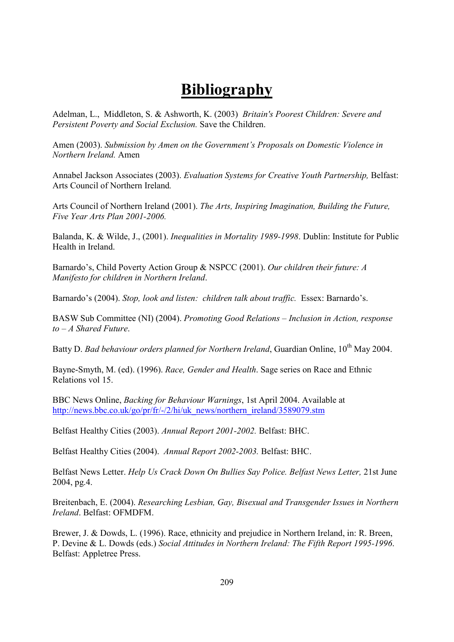## **Bibliography**

Adelman, L., Middleton, S. & Ashworth, K. (2003) Britain's Poorest Children: Severe and Persistent Poverty and Social Exclusion. Save the Children.

Amen (2003). Submission by Amen on the Government's Proposals on Domestic Violence in Northern Ireland, Amen

Annabel Jackson Associates (2003). Evaluation Systems for Creative Youth Partnership, Belfast: Arts Council of Northern Ireland.

Arts Council of Northern Ireland (2001). The Arts, Inspiring Imagination, Building the Future, Five Year Arts Plan 2001-2006.

Balanda, K. & Wilde, J., (2001). *Inequalities in Mortality 1989-1998*. Dublin: Institute for Public Health in Ireland.

Barnardo's, Child Poverty Action Group & NSPCC (2001). Our children their future: A Manifesto for children in Northern Ireland.

Barnardo's (2004). Stop, look and listen: children talk about traffic. Essex: Barnardo's.

BASW Sub Committee (NI) (2004). Promoting Good Relations – Inclusion in Action, response  $to -A$  Shared Future.

Batty D. Bad behaviour orders planned for Northern Ireland, Guardian Online, 10<sup>th</sup> Mav 2004.

Bayne-Smyth, M. (ed). (1996). Race, Gender and Health. Sage series on Race and Ethnic Relations vol 15

BBC News Online, Backing for Behaviour Warnings, 1st April 2004. Available at http://news.bbc.co.uk/go/pr/fr/-/2/hi/uk news/northern ireland/3589079.stm

Belfast Healthy Cities (2003). Annual Report 2001-2002. Belfast: BHC.

Belfast Healthy Cities (2004). Annual Report 2002-2003. Belfast: BHC.

Belfast News Letter. Help Us Crack Down On Bullies Say Police. Belfast News Letter, 21st June 2004, pg.4.

Breitenbach, E. (2004). Researching Lesbian, Gay, Bisexual and Transgender Issues in Northern Ireland. Belfast: OFMDFM.

Brewer, J. & Dowds, L. (1996). Race, ethnicity and prejudice in Northern Ireland, in: R. Breen, P. Devine & L. Dowds (eds.) Social Attitudes in Northern Ireland: The Fifth Report 1995-1996. Belfast: Appletree Press.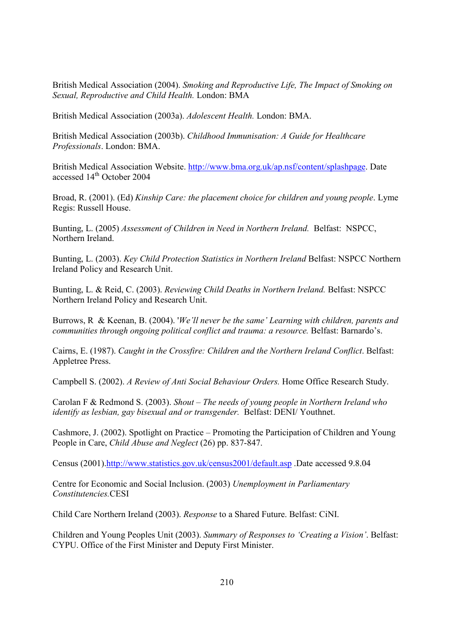British Medical Association (2004). Smoking and Reproductive Life, The Impact of Smoking on Sexual, Reproductive and Child Health. London: BMA

British Medical Association (2003a). Adolescent Health. London: BMA.

British Medical Association (2003b). Childhood Immunisation: A Guide for Healthcare Professionals. London: BMA.

British Medical Association Website. http://www.bma.org.uk/ap.nsf/content/splashpage. Date accessed 14<sup>th</sup> October 2004

Broad, R. (2001). (Ed) Kinship Care: the placement choice for children and young people. Lyme Regis: Russell House.

Bunting, L. (2005) Assessment of Children in Need in Northern Ireland. Belfast: NSPCC, Northern Ireland.

Bunting, L. (2003). Key Child Protection Statistics in Northern Ireland Belfast: NSPCC Northern Ireland Policy and Research Unit.

Bunting, L. & Reid, C. (2003). Reviewing Child Deaths in Northern Ireland. Belfast: NSPCC Northern Ireland Policy and Research Unit.

Burrows, R & Keenan, B. (2004). *We'll never be the same' Learning with children, parents and* communities through ongoing political conflict and trauma: a resource. Belfast: Barnardo's.

Cairns, E. (1987). Caught in the Crossfire: Children and the Northern Ireland Conflict. Belfast: Appletree Press.

Campbell S. (2002). A Review of Anti Social Behaviour Orders. Home Office Research Study.

Carolan F & Redmond S. (2003). Shout – The needs of young people in Northern Ireland who *identify as lesbian, gay bisexual and or transgender. Belfast: DENI/Youthnet.* 

Cashmore, J. (2002). Spotlight on Practice – Promoting the Participation of Children and Young People in Care, Child Abuse and Neglect (26) pp. 837-847.

Census (2001).http://www.statistics.gov.uk/census2001/default.asp.Date accessed 9.8.04

Centre for Economic and Social Inclusion. (2003) Unemployment in Parliamentary Constitutencies.CESI

Child Care Northern Ireland (2003). Response to a Shared Future. Belfast: CiNI.

Children and Young Peoples Unit (2003). Summary of Responses to 'Creating a Vision'. Belfast: CYPU. Office of the First Minister and Deputy First Minister.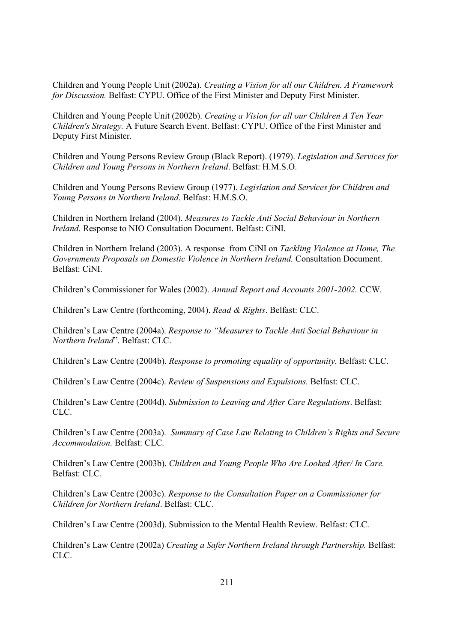Children and Young People Unit (2002a). Creating a Vision for all our Children. A Framework for Discussion. Belfast: CYPU. Office of the First Minister and Deputy First Minister.

Children and Young People Unit (2002b). Creating a Vision for all our Children A Ten Year Children's Strategy. A Future Search Event. Belfast: CYPU. Office of the First Minister and Deputy First Minister.

Children and Young Persons Review Group (Black Report). (1979). Legislation and Services for Children and Young Persons in Northern Ireland, Belfast: H.M.S.O.

Children and Young Persons Review Group (1977). Legislation and Services for Children and Young Persons in Northern Ireland. Belfast: H.M.S.O.

Children in Northern Ireland (2004). Measures to Tackle Anti Social Behaviour in Northern *Ireland.* Response to NIO Consultation Document. Belfast: CiNI.

Children in Northern Ireland (2003). A response from CiNI on Tackling Violence at Home, The Governments Proposals on Domestic Violence in Northern Ireland. Consultation Document. Belfast: CiNL

Children's Commissioner for Wales (2002). Annual Report and Accounts 2001-2002. CCW.

Children's Law Centre (forthcoming, 2004). Read & Rights. Belfast: CLC.

Children's Law Centre (2004a). Response to "Measures to Tackle Anti Social Behaviour in Northern Ireland". Belfast: CLC.

Children's Law Centre (2004b). Response to promoting equality of opportunity. Belfast: CLC.

Children's Law Centre (2004c). Review of Suspensions and Expulsions. Belfast: CLC.

Children's Law Centre (2004d). Submission to Leaving and After Care Regulations. Belfast: CLC.

Children's Law Centre (2003a). Summary of Case Law Relating to Children's Rights and Secure Accommodation. Belfast: CLC.

Children's Law Centre (2003b). Children and Young People Who Are Looked After/In Care.  $Belfast: CLC$ 

Children's Law Centre (2003c). Response to the Consultation Paper on a Commissioner for Children for Northern Ireland. Belfast: CLC.

Children's Law Centre (2003d). Submission to the Mental Health Review. Belfast: CLC.

Children's Law Centre (2002a) Creating a Safer Northern Ireland through Partnership. Belfast: CLC.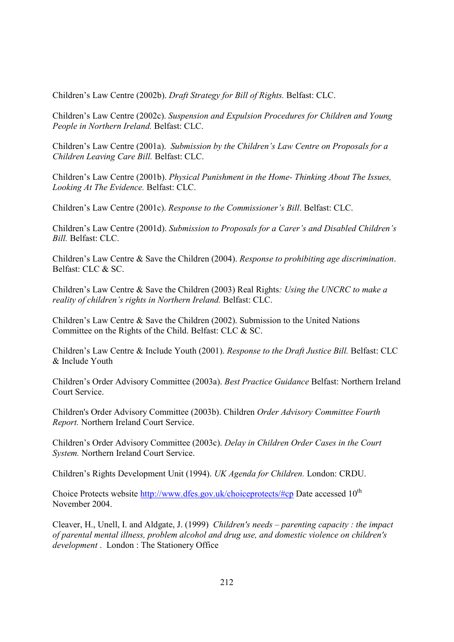Children's Law Centre (2002b). Draft Strategy for Bill of Rights. Belfast: CLC.

Children's Law Centre (2002c). Suspension and Expulsion Procedures for Children and Young People in Northern Ireland. Belfast: CLC.

Children's Law Centre (2001a). Submission by the Children's Law Centre on Proposals for a Children Leaving Care Bill. Belfast: CLC.

Children's Law Centre (2001b). Physical Punishment in the Home-Thinking About The Issues, Looking At The Evidence. Belfast: CLC.

Children's Law Centre (2001c). Response to the Commissioner's Bill. Belfast: CLC.

Children's Law Centre (2001d). Submission to Proposals for a Carer's and Disabled Children's Bill. Belfast: CLC.

Children's Law Centre  $\&$  Save the Children (2004). Response to prohibiting age discrimination. Belfast: CLC & SC.

Children's Law Centre & Save the Children (2003) Real Rights: Using the UNCRC to make a reality of children's rights in Northern Ireland. Belfast: CLC.

Children's Law Centre  $\&$  Save the Children (2002). Submission to the United Nations Committee on the Rights of the Child. Belfast: CLC & SC.

Children's Law Centre & Include Youth (2001). Response to the Draft Justice Bill. Belfast: CLC & Include Youth

Children's Order Advisory Committee (2003a). Best Practice Guidance Belfast: Northern Ireland Court Service

Children's Order Advisory Committee (2003b). Children Order Advisory Committee Fourth Report. Northern Ireland Court Service.

Children's Order Advisory Committee (2003c). Delay in Children Order Cases in the Court System. Northern Ireland Court Service.

Children's Rights Development Unit (1994). UK Agenda for Children. London: CRDU.

Choice Protects website http://www.dfes.gov.uk/choiceprotects/#cp Date accessed  $10^{th}$ November 2004.

Cleaver, H., Unell, I. and Aldgate, J. (1999) Children's needs – parenting capacity: the impact of parental mental illness, problem alcohol and drug use, and domestic violence on children's development. London: The Stationery Office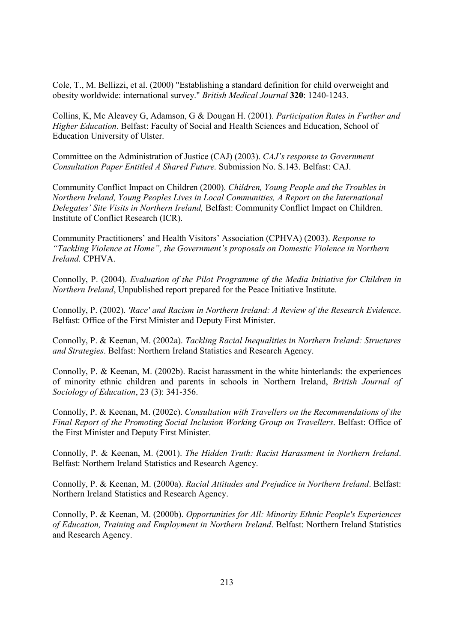Cole, T., M. Bellizzi, et al. (2000) "Establishing a standard definition for child overweight and obesity worldwide: international survey." British Medical Journal 320: 1240-1243.

Collins, K, Mc Aleavey G, Adamson, G & Dougan H. (2001). Participation Rates in Further and Higher Education. Belfast: Faculty of Social and Health Sciences and Education, School of Education University of Ulster.

Committee on the Administration of Justice (CAJ) (2003). CAJ's response to Government Consultation Paper Entitled A Shared Future. Submission No. S.143. Belfast: CAJ.

Community Conflict Impact on Children (2000). Children, Young People and the Troubles in Northern Ireland, Young Peoples Lives in Local Communities, A Report on the International Delegates' Site Visits in Northern Ireland, Belfast: Community Conflict Impact on Children. Institute of Conflict Research (ICR).

Community Practitioners' and Health Visitors' Association (CPHVA) (2003). Response to "Tackling Violence at Home", the Government's proposals on Domestic Violence in Northern Ireland, CPHVA.

Connolly, P. (2004). Evaluation of the Pilot Programme of the Media Initiative for Children in Northern Ireland, Unpublished report prepared for the Peace Initiative Institute.

Connolly, P. (2002). 'Race' and Racism in Northern Ireland: A Review of the Research Evidence. Belfast: Office of the First Minister and Deputy First Minister.

Connolly, P. & Keenan, M. (2002a). Tackling Racial Inequalities in Northern Ireland: Structures and Strategies. Belfast: Northern Ireland Statistics and Research Agency.

Connolly, P. & Keenan, M. (2002b). Racist harassment in the white hinterlands: the experiences of minority ethnic children and parents in schools in Northern Ireland, British Journal of Sociology of Education, 23 (3): 341-356.

Connolly, P. & Keenan, M. (2002c). Consultation with Travellers on the Recommendations of the Final Report of the Promoting Social Inclusion Working Group on Travellers. Belfast: Office of the First Minister and Deputy First Minister.

Connolly, P. & Keenan, M. (2001). The Hidden Truth: Racist Harassment in Northern Ireland. Belfast: Northern Ireland Statistics and Research Agency.

Connolly, P. & Keenan, M. (2000a). Racial Attitudes and Prejudice in Northern Ireland. Belfast: Northern Ireland Statistics and Research Agency.

Connolly, P. & Keenan, M. (2000b). Opportunities for All: Minority Ethnic People's Experiences of Education, Training and Employment in Northern Ireland. Belfast: Northern Ireland Statistics and Research Agency.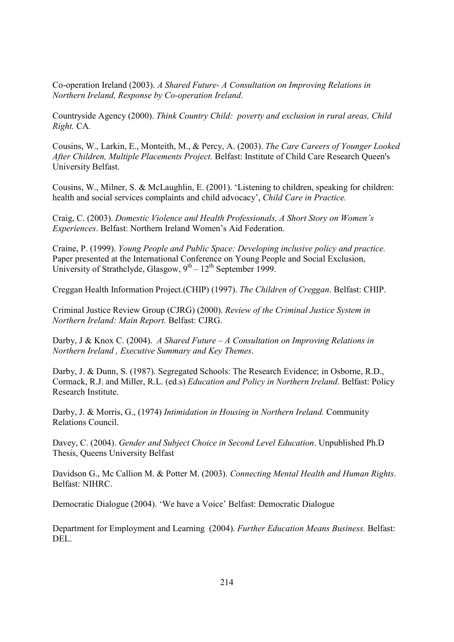Co-operation Ireland (2003). A Shared Future- A Consultation on Improving Relations in Northern Ireland, Response by Co-operation Ireland.

Countryside Agency (2000). Think Country Child: poverty and exclusion in rural areas, Child Right. CA.

Cousins, W., Larkin, E., Monteith, M., & Percy, A. (2003). The Care Careers of Younger Looked After Children, Multiple Placements Project. Belfast: Institute of Child Care Research Oueen's University Belfast.

Cousins, W., Milner, S. & McLaughlin, E. (2001). 'Listening to children, speaking for children: health and social services complaints and child advocacy', Child Care in Practice.

Craig, C. (2003). Domestic Violence and Health Professionals, A Short Story on Women's Experiences. Belfast: Northern Ireland Women's Aid Federation.

Craine, P. (1999). Young People and Public Space: Developing inclusive policy and practice. Paper presented at the International Conference on Young People and Social Exclusion. University of Strathclyde, Glasgow,  $9^{th} - 12^{th}$  September 1999.

Creggan Health Information Project.(CHIP) (1997). The Children of Creggan. Belfast: CHIP.

Criminal Justice Review Group (CJRG) (2000). Review of the Criminal Justice System in Northern Ireland: Main Report. Belfast: CJRG.

Darby, J & Knox C. (2004). A Shared Future  $-A$  Consultation on Improving Relations in Northern Ireland, Executive Summary and Key Themes.

Darby, J. & Dunn, S. (1987). Segregated Schools: The Research Evidence; in Osborne, R.D., Cormack, R.J. and Miller, R.L. (ed.s) Education and Policy in Northern Ireland. Belfast: Policy Research Institute

Darby, J. & Morris, G., (1974) Intimidation in Housing in Northern Ireland. Community Relations Council

Davey, C. (2004). Gender and Subject Choice in Second Level Education. Unpublished Ph.D Thesis, Queens University Belfast

Davidson G., Mc Callion M. & Potter M. (2003). Connecting Mental Health and Human Rights. Belfast: NIHRC.

Democratic Dialogue (2004). 'We have a Voice' Belfast: Democratic Dialogue

Department for Employment and Learning (2004). Further Education Means Business. Belfast: DEL.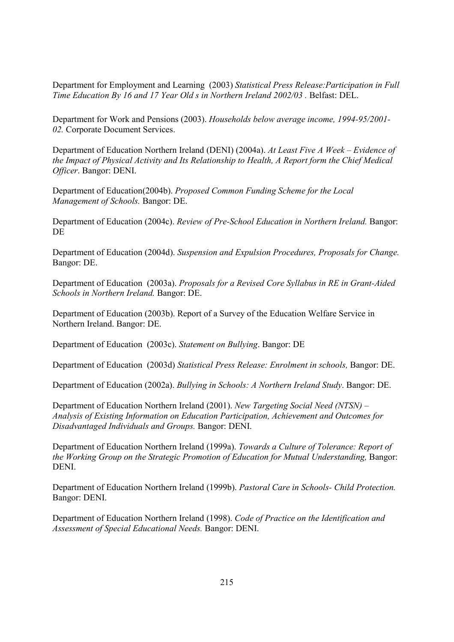Department for Employment and Learning (2003) Statistical Press Release: Participation in Full Time Education By 16 and 17 Year Old s in Northern Ireland 2002/03 . Belfast: DEL.

Department for Work and Pensions (2003). Households below average income, 1994-95/2001-02. Corporate Document Services.

Department of Education Northern Ireland (DENI) (2004a). At Least Five A Week – Evidence of the Impact of Physical Activity and Its Relationship to Health, A Report form the Chief Medical Officer. Bangor: DENI.

Department of Education(2004b). Proposed Common Funding Scheme for the Local Management of Schools. Bangor: DE.

Department of Education (2004c). Review of Pre-School Education in Northern Ireland. Bangor: DE

Department of Education (2004d). Suspension and Expulsion Procedures, Proposals for Change. Bangor: DE.

Department of Education (2003a). Proposals for a Revised Core Syllabus in RE in Grant-Aided Schools in Northern Ireland. Bangor: DE.

Department of Education (2003b). Report of a Survey of the Education Welfare Service in Northern Ireland. Bangor: DE.

Department of Education (2003c). Statement on Bullying. Bangor: DE

Department of Education (2003d) Statistical Press Release: Enrolment in schools, Bangor: DE.

Department of Education (2002a). Bullying in Schools: A Northern Ireland Study. Bangor: DE.

Department of Education Northern Ireland (2001). New Targeting Social Need (NTSN) – Analysis of Existing Information on Education Participation, Achievement and Outcomes for Disadvantaged Individuals and Groups. Bangor: DENI.

Department of Education Northern Ireland (1999a). Towards a Culture of Tolerance: Report of the Working Group on the Strategic Promotion of Education for Mutual Understanding, Bangor: DENI.

Department of Education Northern Ireland (1999b). Pastoral Care in Schools- Child Protection. Bangor: DENI.

Department of Education Northern Ireland (1998). Code of Practice on the Identification and Assessment of Special Educational Needs. Bangor: DENI.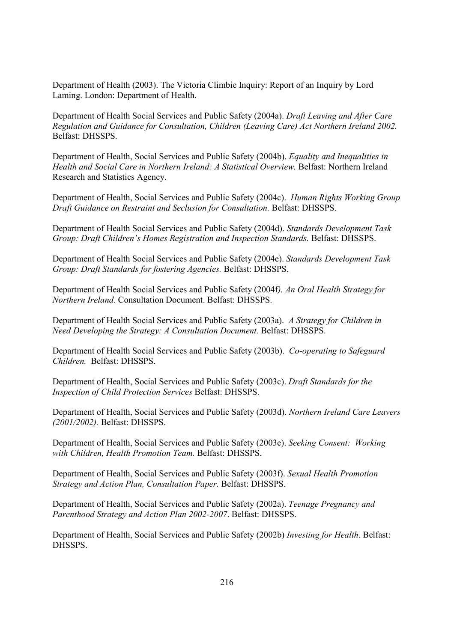Department of Health (2003). The Victoria Climbie Inquiry: Report of an Inquiry by Lord Laming. London: Department of Health.

Department of Health Social Services and Public Safety (2004a). Draft Leaving and After Care Regulation and Guidance for Consultation, Children (Leaving Care) Act Northern Ireland 2002. **Belfast: DHSSPS.** 

Department of Health, Social Services and Public Safety (2004b). Equality and Inequalities in Health and Social Care in Northern Ireland: A Statistical Overview. Belfast: Northern Ireland Research and Statistics Agency.

Department of Health, Social Services and Public Safety (2004c). Human Rights Working Group Draft Guidance on Restraint and Seclusion for Consultation. Belfast: DHSSPS.

Department of Health Social Services and Public Safety (2004d). Standards Development Task Group: Draft Children's Homes Registration and Inspection Standards. Belfast: DHSSPS.

Department of Health Social Services and Public Safety (2004e). Standards Development Task Group: Draft Standards for fostering Agencies. Belfast: DHSSPS.

Department of Health Social Services and Public Safety (2004f). An Oral Health Strategy for Northern Ireland. Consultation Document. Belfast: DHSSPS.

Department of Health Social Services and Public Safety (2003a). A Strategy for Children in Need Developing the Strategy: A Consultation Document. Belfast: DHSSPS.

Department of Health Social Services and Public Safety (2003b). Co-operating to Safeguard Children. Belfast: DHSSPS.

Department of Health, Social Services and Public Safety (2003c). Draft Standards for the Inspection of Child Protection Services Belfast: DHSSPS.

Department of Health, Social Services and Public Safety (2003d). Northern Ireland Care Leavers (2001/2002). Belfast: DHSSPS.

Department of Health, Social Services and Public Safety (2003e). Seeking Consent: Working with Children, Health Promotion Team. Belfast: DHSSPS.

Department of Health, Social Services and Public Safety (2003f). Sexual Health Promotion Strategy and Action Plan, Consultation Paper. Belfast: DHSSPS.

Department of Health, Social Services and Public Safety (2002a). Teenage Pregnancy and Parenthood Strategy and Action Plan 2002-2007. Belfast: DHSSPS.

Department of Health, Social Services and Public Safety (2002b) Investing for Health. Belfast: DHSSPS.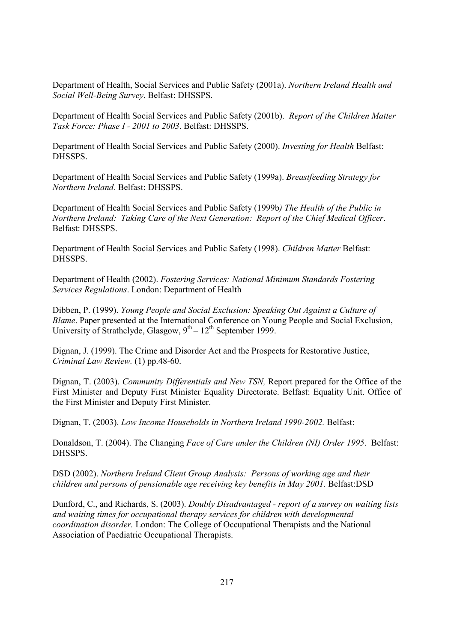Department of Health, Social Services and Public Safety (2001a). Northern Ireland Health and Social Well-Being Survey. Belfast: DHSSPS.

Department of Health Social Services and Public Safety (2001b). Report of the Children Matter Task Force: Phase I - 2001 to 2003. Belfast: DHSSPS.

Department of Health Social Services and Public Safety (2000). Investing for Health Belfast: **DHSSPS** 

Department of Health Social Services and Public Safety (1999a). Breastfeeding Strategy for Northern Ireland. Belfast: DHSSPS.

Department of Health Social Services and Public Safety (1999b) The Health of the Public in Northern Ireland: Taking Care of the Next Generation: Report of the Chief Medical Officer. Belfast: DHSSPS

Department of Health Social Services and Public Safety (1998). Children Matter Belfast: DHSSPS.

Department of Health (2002). Fostering Services: National Minimum Standards Fostering Services Regulations. London: Department of Health

Dibben, P. (1999). Young People and Social Exclusion: Speaking Out Against a Culture of Blame. Paper presented at the International Conference on Young People and Social Exclusion, University of Strathclyde, Glasgow,  $9^{th} - 12^{th}$  September 1999.

Dignan, J. (1999). The Crime and Disorder Act and the Prospects for Restorative Justice, Criminal Law Review. (1) pp.48-60.

Dignan, T. (2003). Community Differentials and New TSN, Report prepared for the Office of the First Minister and Deputy First Minister Equality Directorate. Belfast: Equality Unit. Office of the First Minister and Deputy First Minister.

Dignan, T. (2003). Low Income Households in Northern Ireland 1990-2002. Belfast:

Donaldson, T. (2004). The Changing Face of Care under the Children (NI) Order 1995. Belfast: DHSSPS.

DSD (2002). Northern Ireland Client Group Analysis: Persons of working age and their children and persons of pensionable age receiving key benefits in May 2001. Belfast:DSD

Dunford, C., and Richards, S. (2003). Doubly Disadvantaged - report of a survey on waiting lists and waiting times for occupational therapy services for children with developmental *coordination disorder.* London: The College of Occupational Therapists and the National Association of Paediatric Occupational Therapists.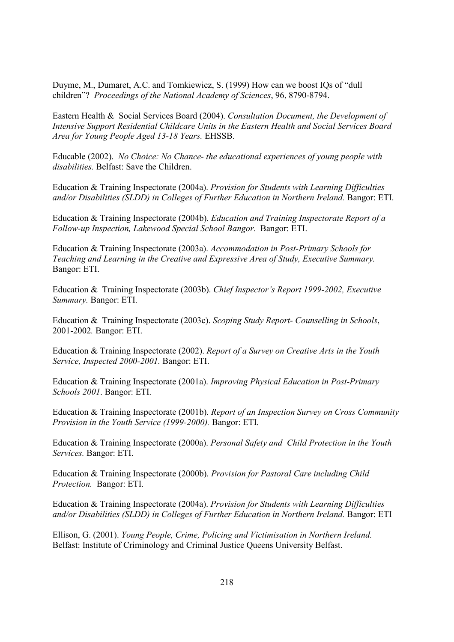Duyme, M., Dumaret, A.C. and Tomkiewicz, S. (1999) How can we boost IQs of "dull children"? Proceedings of the National Academy of Sciences, 96, 8790-8794.

Eastern Health & Social Services Board (2004). Consultation Document, the Development of Intensive Support Residential Childcare Units in the Eastern Health and Social Services Board Area for Young People Aged 13-18 Years. EHSSB.

Educable (2002). No Choice: No Chance- the educational experiences of young people with *disabilities.* Belfast: Save the Children.

Education & Training Inspectorate (2004a). Provision for Students with Learning Difficulties and/or Disabilities (SLDD) in Colleges of Further Education in Northern Ireland. Bangor: ETI.

Education & Training Inspectorate (2004b). Education and Training Inspectorate Report of a Follow-up Inspection, Lakewood Special School Bangor. Bangor: ETI.

Education & Training Inspectorate (2003a). Accommodation in Post-Primary Schools for Teaching and Learning in the Creative and Expressive Area of Study, Executive Summary. Bangor: ETI.

Education & Training Inspectorate (2003b). Chief Inspector's Report 1999-2002, Executive Summary. Bangor: ETI.

Education & Training Inspectorate (2003c). Scoping Study Report- Counselling in Schools, 2001-2002. Bangor: ETI.

Education & Training Inspectorate (2002). Report of a Survey on Creative Arts in the Youth Service, Inspected 2000-2001. Bangor: ETI.

Education & Training Inspectorate (2001a). Improving Physical Education in Post-Primary Schools 2001. Bangor: ETI.

Education & Training Inspectorate (2001b). Report of an Inspection Survey on Cross Community Provision in the Youth Service (1999-2000). Bangor: ETI.

Education & Training Inspectorate (2000a). Personal Safety and Child Protection in the Youth Services. Bangor: ETI.

Education & Training Inspectorate (2000b). Provision for Pastoral Care including Child Protection. Bangor: ETI.

Education & Training Inspectorate (2004a). Provision for Students with Learning Difficulties and/or Disabilities (SLDD) in Colleges of Further Education in Northern Ireland. Bangor: ETI

Ellison, G. (2001). Young People, Crime, Policing and Victimisation in Northern Ireland. Belfast: Institute of Criminology and Criminal Justice Queens University Belfast.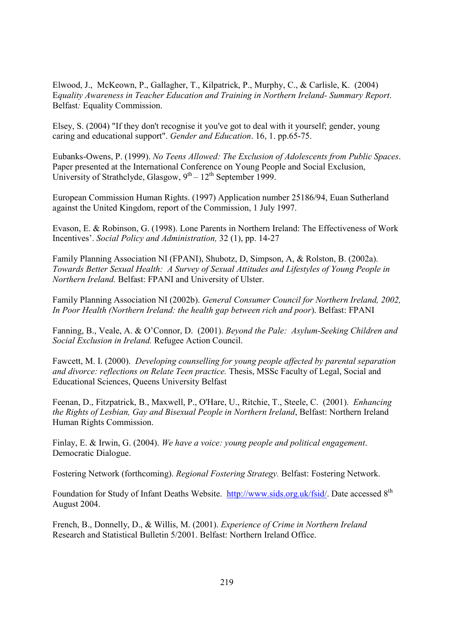Elwood, J., McKeown, P., Gallagher, T., Kilpatrick, P., Murphy, C., & Carlisle, K. (2004) Equality Awareness in Teacher Education and Training in Northern Ireland-Summary Report. Belfast: Equality Commission.

Elsey, S. (2004) "If they don't recognise it you've got to deal with it yourself; gender, young caring and educational support". Gender and Education. 16, 1. pp.65-75.

Eubanks-Owens, P. (1999). No Teens Allowed: The Exclusion of Adolescents from Public Spaces. Paper presented at the International Conference on Young People and Social Exclusion, University of Strathclyde, Glasgow,  $9^{th} - 12^{th}$  September 1999.

European Commission Human Rights. (1997) Application number 25186/94, Euan Sutherland against the United Kingdom, report of the Commission, 1 July 1997.

Evason, E. & Robinson, G. (1998). Lone Parents in Northern Ireland: The Effectiveness of Work Incentives'. Social Policy and Administration, 32 (1), pp. 14-27

Family Planning Association NI (FPANI), Shubotz, D, Simpson, A, & Rolston, B. (2002a). Towards Better Sexual Health: A Survey of Sexual Attitudes and Lifestyles of Young People in Northern Ireland. Belfast: FPANI and University of Ulster.

Family Planning Association NI (2002b). General Consumer Council for Northern Ireland, 2002, In Poor Health (Northern Ireland: the health gap between rich and poor). Belfast: FPANI

Fanning, B., Veale, A. & O'Connor, D. (2001). Beyond the Pale: Asylum-Seeking Children and Social Exclusion in Ireland. Refugee Action Council.

Fawcett, M. I. (2000). Developing counselling for young people affected by parental separation and divorce: reflections on Relate Teen practice. Thesis, MSSc Faculty of Legal, Social and **Educational Sciences, Queens University Belfast** 

Feenan, D., Fitzpatrick, B., Maxwell, P., O'Hare, U., Ritchie, T., Steele, C. (2001). Enhancing the Rights of Lesbian, Gay and Bisexual People in Northern Ireland, Belfast: Northern Ireland Human Rights Commission.

Finlay, E. & Irwin, G. (2004). We have a voice: young people and political engagement. Democratic Dialogue.

Fostering Network (forthcoming). Regional Fostering Strategy. Belfast: Fostering Network.

Foundation for Study of Infant Deaths Website. http://www.sids.org.uk/fsid/. Date accessed 8<sup>th</sup> August 2004.

French, B., Donnelly, D., & Willis, M. (2001). Experience of Crime in Northern Ireland Research and Statistical Bulletin 5/2001. Belfast: Northern Ireland Office.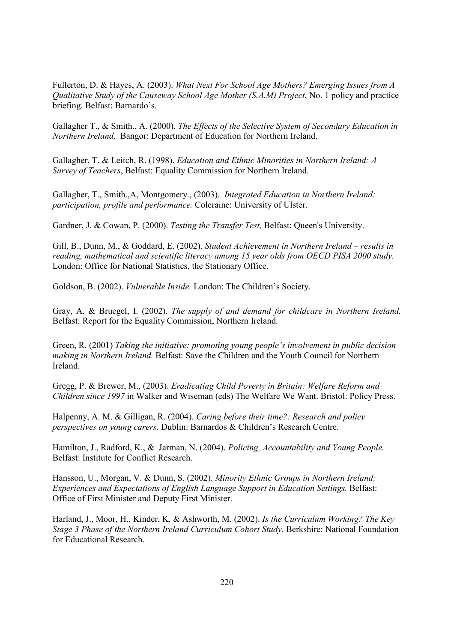Fullerton, D. & Hayes, A. (2003). What Next For School Age Mothers? Emerging Issues from A Qualitative Study of the Causeway School Age Mother (S.A.M) Project, No. 1 policy and practice briefing. Belfast: Barnardo's.

Gallagher T., & Smith., A. (2000). The Effects of the Selective System of Secondary Education in Northern Ireland, Bangor: Department of Education for Northern Ireland.

Gallagher, T. & Leitch, R. (1998). Education and Ethnic Minorities in Northern Ireland: A Survey of Teachers, Belfast: Equality Commission for Northern Ireland.

Gallagher, T., Smith., A, Montgomery., (2003). Integrated Education in Northern Ireland: participation, profile and performance. Coleraine: University of Ulster.

Gardner, J. & Cowan, P. (2000). Testing the Transfer Test, Belfast: Queen's University.

Gill, B., Dunn, M., & Goddard, E. (2002). Student Achievement in Northern Ireland - results in reading, mathematical and scientific literacy among 15 year olds from OECD PISA 2000 study. London: Office for National Statistics, the Stationary Office.

Goldson, B. (2002). Vulnerable Inside. London: The Children's Society.

Gray, A. & Bruegel, I. (2002). The supply of and demand for childcare in Northern Ireland. Belfast: Report for the Equality Commission, Northern Ireland.

Green, R. (2001) Taking the initiative: promoting young people's involvement in public decision *making in Northern Ireland.* Belfast: Save the Children and the Youth Council for Northern Ireland

Gregg, P. & Brewer, M., (2003). Eradicating Child Poverty in Britain: Welfare Reform and Children since 1997 in Walker and Wiseman (eds) The Welfare We Want. Bristol: Policy Press.

Halpenny, A. M. & Gilligan, R. (2004). Caring before their time?: Research and policy perspectives on young carers. Dublin: Barnardos & Children's Research Centre.

Hamilton, J., Radford, K., & Jarman, N. (2004). Policing, Accountability and Young People. Belfast: Institute for Conflict Research.

Hansson, U., Morgan, V. & Dunn, S. (2002). Minority Ethnic Groups in Northern Ireland: Experiences and Expectations of English Language Support in Education Settings. Belfast: Office of First Minister and Deputy First Minister.

Harland, J., Moor, H., Kinder, K. & Ashworth, M. (2002). Is the Curriculum Working? The Key Stage 3 Phase of the Northern Ireland Curriculum Cohort Study. Berkshire: National Foundation for Educational Research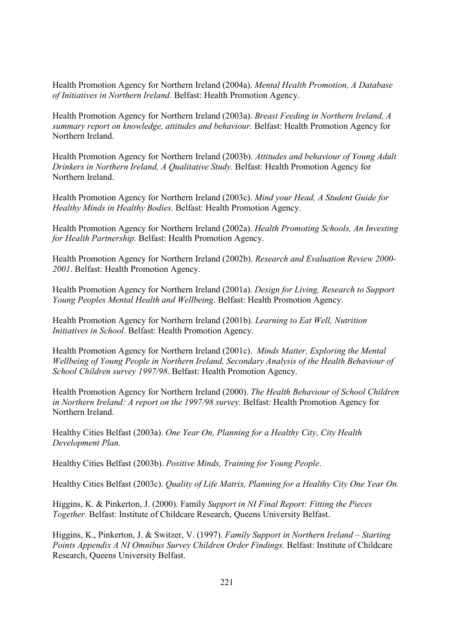Health Promotion Agency for Northern Ireland (2004a). Mental Health Promotion, A Database of Initiatives in Northern Ireland. Belfast: Health Promotion Agency.

Health Promotion Agency for Northern Ireland (2003a). Breast Feeding in Northern Ireland, A summary report on knowledge, attitudes and behaviour. Belfast: Health Promotion Agency for Northern Ireland.

Health Promotion Agency for Northern Ireland (2003b). Attitudes and behaviour of Young Adult Drinkers in Northern Ireland, A Qualitative Study. Belfast: Health Promotion Agency for Northern Ireland.

Health Promotion Agency for Northern Ireland (2003c). Mind your Head, A Student Guide for Healthy Minds in Healthy Bodies. Belfast: Health Promotion Agency.

Health Promotion Agency for Northern Ireland (2002a). Health Promoting Schools, An Investing for Health Partnership. Belfast: Health Promotion Agency.

Health Promotion Agency for Northern Ireland (2002b). Research and Evaluation Review 2000-2001. Belfast: Health Promotion Agency.

Health Promotion Agency for Northern Ireland (2001a). Design for Living, Research to Support Young Peoples Mental Health and Wellbeing. Belfast: Health Promotion Agency.

Health Promotion Agency for Northern Ireland (2001b). Learning to Eat Well, Nutrition Initiatives in School. Belfast: Health Promotion Agency.

Health Promotion Agency for Northern Ireland (2001c). Minds Matter, Exploring the Mental Wellbeing of Young People in Northern Ireland, Secondary Analysis of the Health Behaviour of School Children survey 1997/98. Belfast: Health Promotion Agency.

Health Promotion Agency for Northern Ireland (2000). The Health Behaviour of School Children in Northern Ireland: A report on the 1997/98 survey. Belfast: Health Promotion Agency for Northern Ireland

Healthy Cities Belfast (2003a). One Year On, Planning for a Healthy City, City Health Development Plan.

Healthy Cities Belfast (2003b). Positive Minds. Training for Young People.

Healthy Cities Belfast (2003c). *Quality of Life Matrix, Planning for a Healthy City One Year On.* 

Higgins, K. & Pinkerton, J. (2000). Family Support in NI Final Report: Fitting the Pieces Together. Belfast: Institute of Childcare Research, Queens University Belfast.

Higgins, K., Pinkerton, J. & Switzer, V. (1997). Family Support in Northern Ireland - Starting Points Appendix A NI Omnibus Survey Children Order Findings. Belfast: Institute of Childcare Research, Queens University Belfast.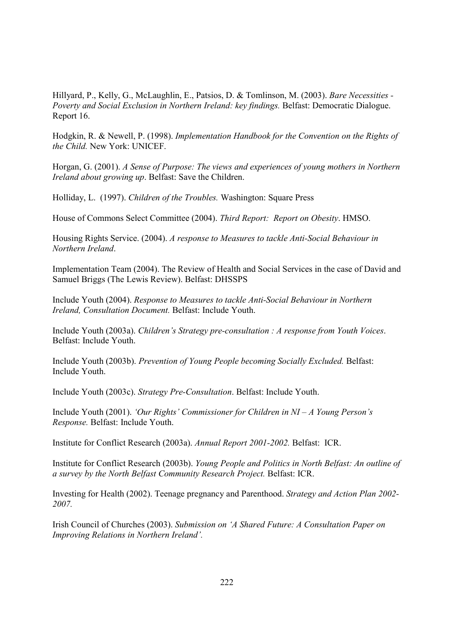Hillyard, P., Kelly, G., McLaughlin, E., Patsios, D. & Tomlinson, M. (2003). Bare Necessities -Poverty and Social Exclusion in Northern Ireland: key findings. Belfast: Democratic Dialogue. Report 16.

Hodgkin, R. & Newell, P. (1998). Implementation Handbook for the Convention on the Rights of the Child. New York: UNICEF.

Horgan, G. (2001). A Sense of Purpose: The views and experiences of young mothers in Northern Ireland about growing up. Belfast: Save the Children.

Holliday, L. (1997). Children of the Troubles. Washington: Square Press

House of Commons Select Committee (2004). Third Report: Report on Obesity. HMSO.

Housing Rights Service. (2004). A response to Measures to tackle Anti-Social Behaviour in Northern Ireland

Implementation Team (2004). The Review of Health and Social Services in the case of David and Samuel Briggs (The Lewis Review). Belfast: DHSSPS

Include Youth (2004). Response to Measures to tackle Anti-Social Behaviour in Northern Ireland, Consultation Document, Belfast: Include Youth.

Include Youth (2003a). Children's Strategy pre-consultation : A response from Youth Voices. Belfast: Include Youth

Include Youth (2003b). Prevention of Young People becoming Socially Excluded. Belfast: Include Youth.

Include Youth (2003c). Strategy Pre-Consultation. Belfast: Include Youth.

Include Youth (2001). 'Our Rights' Commissioner for Children in  $NI - A$  Young Person's Response. Belfast: Include Youth.

Institute for Conflict Research (2003a). Annual Report 2001-2002. Belfast: ICR.

Institute for Conflict Research (2003b). Young People and Politics in North Belfast: An outline of a survey by the North Belfast Community Research Project. Belfast: ICR.

Investing for Health (2002). Teenage pregnancy and Parenthood. Strategy and Action Plan 2002-2007.

Irish Council of Churches (2003). Submission on 'A Shared Future: A Consultation Paper on Improving Relations in Northern Ireland'.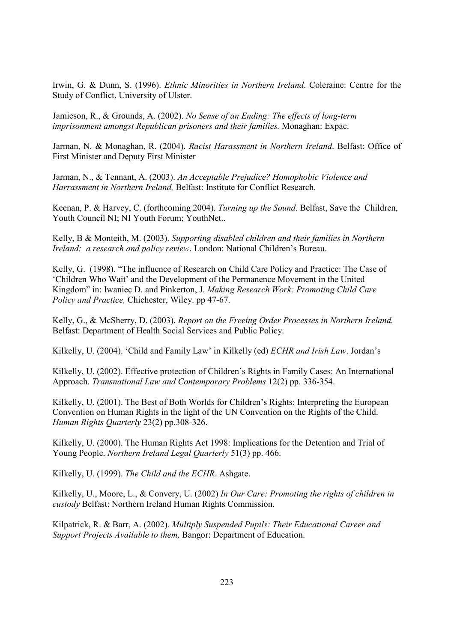Irwin, G. & Dunn, S. (1996). *Ethnic Minorities in Northern Ireland*. Coleraine: Centre for the Study of Conflict, University of Ulster.

Jamieson, R., & Grounds, A. (2002). No Sense of an Ending: The effects of long-term imprisonment amongst Republican prisoners and their families. Monaghan: Expac.

Jarman, N. & Monaghan, R. (2004). Racist Harassment in Northern Ireland. Belfast: Office of First Minister and Deputy First Minister

Jarman, N., & Tennant, A. (2003). An Acceptable Prejudice? Homophobic Violence and Harrassment in Northern Ireland, Belfast: Institute for Conflict Research.

Keenan, P. & Harvey, C. (forthcoming 2004). Turning up the Sound. Belfast, Save the Children, Youth Council NI; NI Youth Forum; YouthNet...

Kelly, B & Monteith, M. (2003). Supporting disabled children and their families in Northern Ireland: a research and policy review. London: National Children's Bureau.

Kelly, G. (1998). "The influence of Research on Child Care Policy and Practice: The Case of 'Children Who Wait' and the Development of the Permanence Movement in the United Kingdom" in: Iwaniec D. and Pinkerton, J. Making Research Work: Promoting Child Care Policy and Practice, Chichester, Wiley. pp 47-67.

Kelly, G., & McSherry, D. (2003). Report on the Freeing Order Processes in Northern Ireland. Belfast: Department of Health Social Services and Public Policy.

Kilkelly, U. (2004). 'Child and Family Law' in Kilkelly (ed) ECHR and Irish Law. Jordan's

Kilkelly, U. (2002). Effective protection of Children's Rights in Family Cases: An International Approach. Transnational Law and Contemporary Problems 12(2) pp. 336-354.

Kilkelly, U. (2001). The Best of Both Worlds for Children's Rights: Interpreting the European Convention on Human Rights in the light of the UN Convention on the Rights of the Child. Human Rights Ouarterly 23(2) pp.308-326.

Kilkelly, U. (2000). The Human Rights Act 1998: Implications for the Detention and Trial of Young People. Northern Ireland Legal Quarterly 51(3) pp. 466.

Kilkelly, U. (1999). The Child and the ECHR. Ashgate.

Kilkelly, U., Moore, L., & Convery, U. (2002) In Our Care: Promoting the rights of children in custody Belfast: Northern Ireland Human Rights Commission.

Kilpatrick, R. & Barr, A. (2002). Multiply Suspended Pupils: Their Educational Career and Support Projects Available to them, Bangor: Department of Education.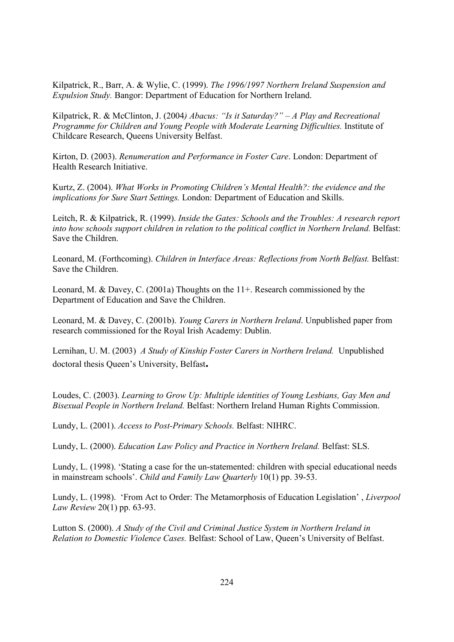Kilpatrick, R., Barr, A. & Wylie, C. (1999). The 1996/1997 Northern Ireland Suspension and Expulsion Study. Bangor: Department of Education for Northern Ireland.

Kilpatrick, R. & McClinton, J. (2004) Abacus: "Is it Saturday?" - A Play and Recreational Programme for Children and Young People with Moderate Learning Difficulties. Institute of Childcare Research, Queens University Belfast.

Kirton, D. (2003). Renumeration and Performance in Foster Care. London: Department of Health Research Initiative.

Kurtz, Z. (2004). What Works in Promoting Children's Mental Health?: the evidence and the implications for Sure Start Settings. London: Department of Education and Skills.

Leitch, R. & Kilpatrick, R. (1999). Inside the Gates: Schools and the Troubles: A research report into how schools support children in relation to the political conflict in Northern Ireland. Belfast: Save the Children.

Leonard, M. (Forthcoming). Children in Interface Areas: Reflections from North Belfast. Belfast: Save the Children.

Leonard, M. & Davey, C. (2001a) Thoughts on the  $11+$ . Research commissioned by the Department of Education and Save the Children.

Leonard, M. & Davey, C. (2001b). *Young Carers in Northern Ireland*. Unpublished paper from research commissioned for the Royal Irish Academy: Dublin.

Lernihan, U. M. (2003) A Study of Kinship Foster Carers in Northern Ireland. Unpublished doctoral thesis Queen's University, Belfast.

Loudes, C. (2003). Learning to Grow Up: Multiple identities of Young Lesbians, Gay Men and Bisexual People in Northern Ireland, Belfast: Northern Ireland Human Rights Commission.

Lundy, L. (2001). Access to Post-Primary Schools. Belfast: NIHRC.

Lundy, L. (2000). Education Law Policy and Practice in Northern Ireland. Belfast: SLS.

Lundy, L. (1998). 'Stating a case for the un-statemented: children with special educational needs in mainstream schools'. Child and Family Law Quarterly 10(1) pp. 39-53.

Lundy, L. (1998). 'From Act to Order: The Metamorphosis of Education Legislation', Liverpool Law Review 20(1) pp. 63-93.

Lutton S. (2000). A Study of the Civil and Criminal Justice System in Northern Ireland in Relation to Domestic Violence Cases. Belfast: School of Law, Queen's University of Belfast.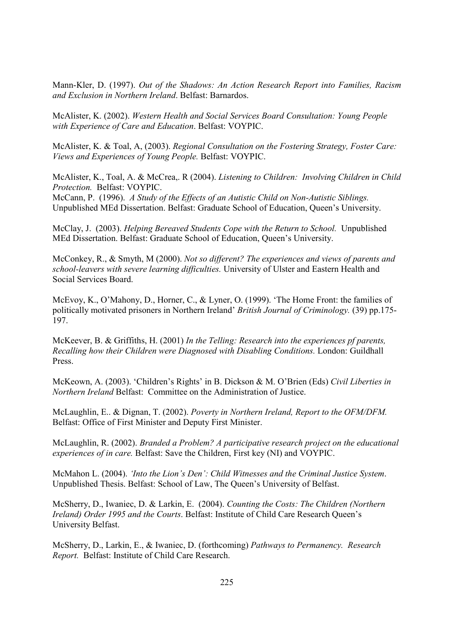Mann-Kler, D. (1997). Out of the Shadows: An Action Research Report into Families, Racism and Exclusion in Northern Ireland. Belfast: Barnardos.

McAlister, K. (2002). Western Health and Social Services Board Consultation: Young People with Experience of Care and Education. Belfast: VOYPIC.

McAlister, K. & Toal, A. (2003). Regional Consultation on the Fostering Strategy, Foster Care: Views and Experiences of Young People. Belfast: VOYPIC.

McAlister, K., Toal, A. & McCrea, R (2004). Listening to Children: Involving Children in Child Protection. Belfast: VOYPIC.

McCann, P. (1996). A Study of the Effects of an Autistic Child on Non-Autistic Siblings. Unpublished MEd Dissertation. Belfast: Graduate School of Education, Queen's University.

McClay, J. (2003). Helping Bereaved Students Cope with the Return to School. Unpublished MEd Dissertation. Belfast: Graduate School of Education, Queen's University.

McConkey, R., & Smyth, M (2000). Not so different? The experiences and views of parents and school-leavers with severe learning difficulties. University of Ulster and Eastern Health and Social Services Board.

McEvoy, K., O'Mahony, D., Horner, C., & Lyner, O. (1999). 'The Home Front: the families of politically motivated prisoners in Northern Ireland' British Journal of Criminology. (39) pp.175-197.

McKeever, B. & Griffiths, H. (2001) In the Telling: Research into the experiences pf parents, Recalling how their Children were Diagnosed with Disabling Conditions. London: Guildhall Press.

McKeown, A. (2003). 'Children's Rights' in B. Dickson & M. O'Brien (Eds) Civil Liberties in *Northern Ireland* Belfast: Committee on the Administration of Justice

McLaughlin, E., & Dignan, T. (2002). Poverty in Northern Ireland, Report to the OFM/DFM. Belfast: Office of First Minister and Deputy First Minister.

McLaughlin, R. (2002). Branded a Problem? A participative research project on the educational experiences of in care. Belfast: Save the Children, First key (NI) and VOYPIC.

McMahon L. (2004). 'Into the Lion's Den': Child Witnesses and the Criminal Justice System. Unpublished Thesis. Belfast: School of Law, The Queen's University of Belfast.

McSherry, D., Iwaniec, D. & Larkin, E. (2004). Counting the Costs: The Children (Northern Ireland) Order 1995 and the Courts. Belfast: Institute of Child Care Research Oueen's University Belfast.

McSherry, D., Larkin, E., & Iwaniec, D. (forthcoming) Pathways to Permanency. Research Report. Belfast: Institute of Child Care Research.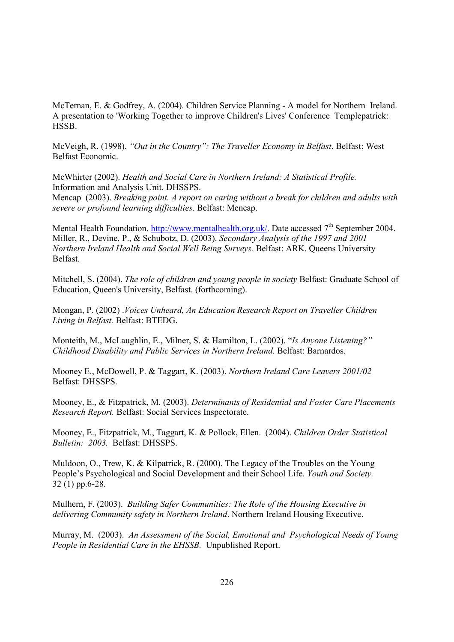McTernan, E. & Godfrey, A. (2004). Children Service Planning - A model for Northern Ireland. A presentation to 'Working Together to improve Children's Lives' Conference Templepatrick: HSSB.

McVeigh, R. (1998). "Out in the Country": The Traveller Economy in Belfast. Belfast: West Belfast Economic

McWhirter (2002). Health and Social Care in Northern Ireland: A Statistical Profile. Information and Analysis Unit. DHSSPS.

Mencap (2003). Breaking point. A report on caring without a break for children and adults with severe or profound learning difficulties. Belfast: Mencap.

Mental Health Foundation. http://www.mentalhealth.org.uk/. Date accessed  $7<sup>th</sup>$  September 2004. Miller, R., Devine, P., & Schubotz, D. (2003). Secondary Analysis of the 1997 and 2001 Northern Ireland Health and Social Well Being Surveys. Belfast: ARK. Oueens University Belfast.

Mitchell, S. (2004). The role of children and young people in society Belfast: Graduate School of Education, Queen's University, Belfast. (forthcoming).

Mongan, P. (2002) Voices Unheard, An Education Research Report on Traveller Children Living in Belfast. Belfast: BTEDG.

Monteith, M., McLaughlin, E., Milner, S. & Hamilton, L. (2002). "Is Anyone Listening?" Childhood Disability and Public Services in Northern Ireland. Belfast: Barnardos.

Mooney E., McDowell, P. & Taggart, K. (2003). Northern Ireland Care Leavers 2001/02 Belfast: DHSSPS.

Mooney, E., & Fitzpatrick, M. (2003). Determinants of Residential and Foster Care Placements Research Report. Belfast: Social Services Inspectorate.

Mooney, E., Fitzpatrick, M., Taggart, K. & Pollock, Ellen. (2004). Children Order Statistical Bulletin: 2003. Belfast: DHSSPS.

Muldoon, O., Trew, K. & Kilpatrick, R. (2000). The Legacy of the Troubles on the Young People's Psychological and Social Development and their School Life. Youth and Society.  $32(1)$  pp.6-28.

Mulhern, F. (2003). Building Safer Communities: The Role of the Housing Executive in delivering Community safety in Northern Ireland. Northern Ireland Housing Executive.

Murray, M. (2003). An Assessment of the Social, Emotional and Psychological Needs of Young People in Residential Care in the EHSSB. Unpublished Report.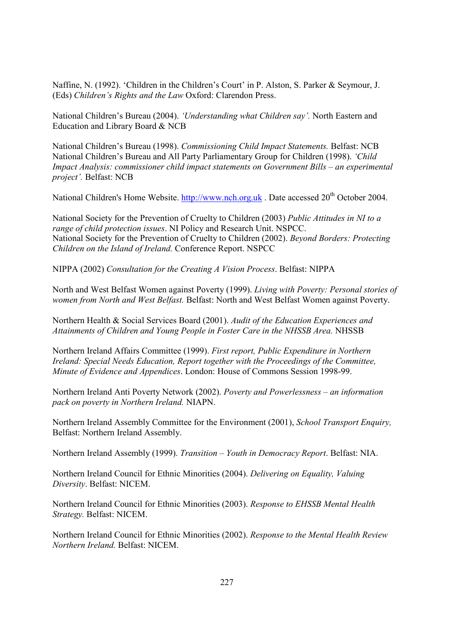Naffine, N. (1992). 'Children in the Children's Court' in P. Alston, S. Parker & Seymour, J. (Eds) Children's Rights and the Law Oxford: Clarendon Press.

National Children's Bureau (2004). 'Understanding what Children say'. North Eastern and Education and Library Board & NCB

National Children's Bureau (1998). Commissioning Child Impact Statements. Belfast: NCB National Children's Bureau and All Party Parliamentary Group for Children (1998). 'Child Impact Analysis: commissioner child impact statements on Government Bills – an experimental project'. Belfast: NCB

National Children's Home Website. http://www.nch.org.uk. Date accessed 20<sup>th</sup> October 2004.

National Society for the Prevention of Cruelty to Children (2003) Public Attitudes in NI to a range of child protection issues. NI Policy and Research Unit. NSPCC. National Society for the Prevention of Cruelty to Children (2002). Beyond Borders: Protecting Children on the Island of Ireland. Conference Report. NSPCC

NIPPA (2002) Consultation for the Creating A Vision Process. Belfast: NIPPA

North and West Belfast Women against Poverty (1999). Living with Poverty: Personal stories of women from North and West Belfast. Belfast: North and West Belfast Women against Poverty.

Northern Health & Social Services Board (2001). Audit of the Education Experiences and Attainments of Children and Young People in Foster Care in the NHSSB Area. NHSSB

Northern Ireland Affairs Committee (1999). First report, Public Expenditure in Northern Ireland: Special Needs Education, Report together with the Proceedings of the Committee, Minute of Evidence and Appendices. London: House of Commons Session 1998-99.

Northern Ireland Anti Poverty Network (2002). Poverty and Powerlessness – an information pack on poverty in Northern Ireland. NIAPN.

Northern Ireland Assembly Committee for the Environment (2001), School Transport Enquiry, Belfast: Northern Ireland Assembly.

Northern Ireland Assembly (1999). Transition – Youth in Democracy Report. Belfast: NIA.

Northern Ireland Council for Ethnic Minorities (2004). Delivering on Equality, Valuing Diversity, Belfast: NICEM.

Northern Ireland Council for Ethnic Minorities (2003). Response to EHSSB Mental Health Strategy. Belfast: NICEM.

Northern Ireland Council for Ethnic Minorities (2002). Response to the Mental Health Review Northern Ireland. Belfast: NICEM.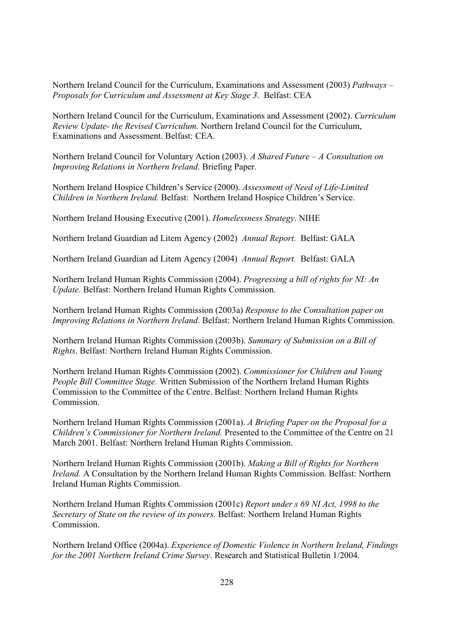Northern Ireland Council for the Curriculum, Examinations and Assessment (2003) Pathways – Proposals for Curriculum and Assessment at Key Stage 3. Belfast: CEA

Northern Ireland Council for the Curriculum, Examinations and Assessment (2002). Curriculum Review Update- the Revised Curriculum. Northern Ireland Council for the Curriculum, Examinations and Assessment, Belfast: CEA.

Northern Ireland Council for Voluntary Action (2003). A Shared Future  $-A$  Consultation on *Improving Relations in Northern Ireland. Briefing Paper.* 

Northern Ireland Hospice Children's Service (2000). Assessment of Need of Life-Limited Children in Northern Ireland. Belfast: Northern Ireland Hospice Children's Service.

Northern Ireland Housing Executive (2001). Homelessness Strategy. NIHE

Northern Ireland Guardian ad Litem Agency (2002) Annual Report. Belfast: GALA

Northern Ireland Guardian ad Litem Agency (2004) Annual Report. Belfast: GALA

Northern Ireland Human Rights Commission (2004). Progressing a bill of rights for NI: An Update. Belfast: Northern Ireland Human Rights Commission.

Northern Ireland Human Rights Commission (2003a) Response to the Consultation paper on Improving Relations in Northern Ireland. Belfast: Northern Ireland Human Rights Commission.

Northern Ireland Human Rights Commission (2003b). Summary of Submission on a Bill of Rights. Belfast: Northern Ireland Human Rights Commission.

Northern Ireland Human Rights Commission (2002). Commissioner for Children and Young People Bill Committee Stage. Written Submission of the Northern Ireland Human Rights Commission to the Committee of the Centre. Belfast: Northern Ireland Human Rights Commission

Northern Ireland Human Rights Commission (2001a). A Briefing Paper on the Proposal for a Children's Commissioner for Northern Ireland. Presented to the Committee of the Centre on 21 March 2001. Belfast: Northern Ireland Human Rights Commission.

Northern Ireland Human Rights Commission (2001b). Making a Bill of Rights for Northern *Ireland.* A Consultation by the Northern Ireland Human Rights Commission. Belfast: Northern **Ireland Human Rights Commission.** 

Northern Ireland Human Rights Commission (2001c) Report under s 69 NI Act, 1998 to the Secretary of State on the review of its powers. Belfast: Northern Ireland Human Rights Commission

Northern Ireland Office (2004a). Experience of Domestic Violence in Northern Ireland, Findings for the 2001 Northern Ireland Crime Survey. Research and Statistical Bulletin 1/2004.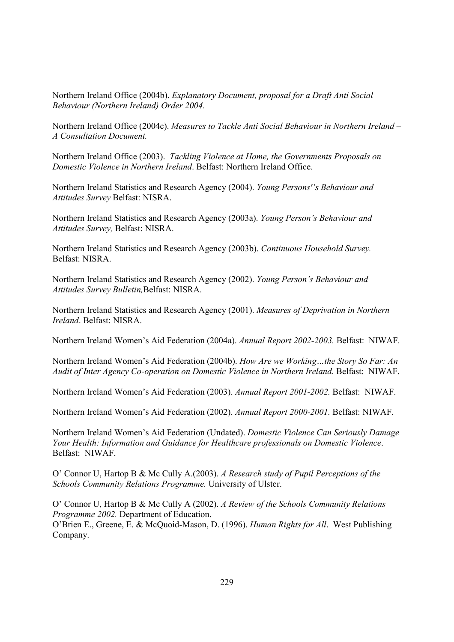Northern Ireland Office (2004b). Explanatory Document, proposal for a Draft Anti Social Behaviour (Northern Ireland) Order 2004.

Northern Ireland Office (2004c). Measures to Tackle Anti Social Behaviour in Northern Ireland – A Consultation Document.

Northern Ireland Office (2003). Tackling Violence at Home, the Governments Proposals on Domestic Violence in Northern Ireland. Belfast: Northern Ireland Office.

Northern Ireland Statistics and Research Agency (2004). Young Persons''s Behaviour and Attitudes Survey Belfast: NISRA.

Northern Ireland Statistics and Research Agency (2003a). Young Person's Behaviour and Attitudes Survey, Belfast: NISRA.

Northern Ireland Statistics and Research Agency (2003b). Continuous Household Survey. Belfast: NISRA.

Northern Ireland Statistics and Research Agency (2002). Young Person's Behaviour and Attitudes Survey Bulletin, Belfast: NISRA.

Northern Ireland Statistics and Research Agency (2001). Measures of Deprivation in Northern *Ireland* Belfast: NISRA

Northern Ireland Women's Aid Federation (2004a). Annual Report 2002-2003. Belfast: NIWAF.

Northern Ireland Women's Aid Federation (2004b). How Are we Working...the Story So Far: An Audit of Inter Agency Co-operation on Domestic Violence in Northern Ireland. Belfast: NIWAF.

Northern Ireland Women's Aid Federation (2003). Annual Report 2001-2002. Belfast: NIWAF.

Northern Ireland Women's Aid Federation (2002). Annual Report 2000-2001. Belfast: NIWAF.

Northern Ireland Women's Aid Federation (Undated). Domestic Violence Can Seriously Damage Your Health: Information and Guidance for Healthcare professionals on Domestic Violence. Belfast: NIWAF.

O' Connor U, Hartop B & Mc Cully A.(2003). A Research study of Pupil Perceptions of the Schools Community Relations Programme. University of Ulster.

O' Connor U, Hartop B & Mc Cully A (2002). A Review of the Schools Community Relations Programme 2002. Department of Education. O'Brien E., Greene, E. & McQuoid-Mason, D. (1996). Human Rights for All. West Publishing Company.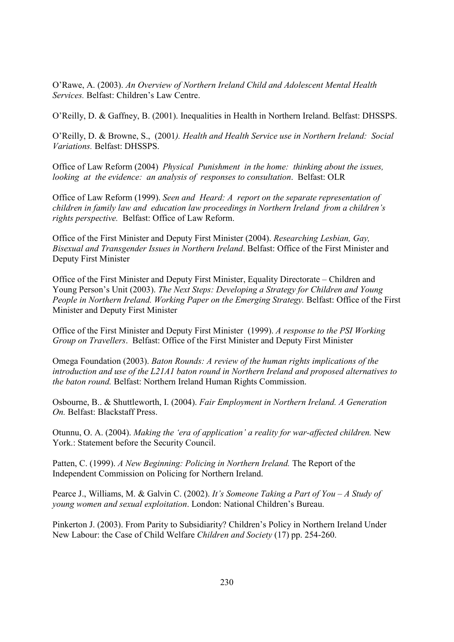O'Rawe, A. (2003). An Overview of Northern Ireland Child and Adolescent Mental Health Services. Belfast: Children's Law Centre.

O'Reilly, D. & Gaffney, B. (2001). Inequalities in Health in Northern Ireland. Belfast: DHSSPS.

O'Reilly, D. & Browne, S., (2001). Health and Health Service use in Northern Ireland: Social Variations. Belfast: DHSSPS.

Office of Law Reform (2004) Physical Punishment in the home: thinking about the issues, looking at the evidence: an analysis of responses to consultation. Belfast: OLR

Office of Law Reform (1999). Seen and Heard: A report on the separate representation of children in family law and education law proceedings in Northern Ireland from a children's rights perspective. Belfast: Office of Law Reform.

Office of the First Minister and Deputy First Minister (2004). Researching Lesbian, Gay, Bisexual and Transgender Issues in Northern Ireland. Belfast: Office of the First Minister and Deputy First Minister

Office of the First Minister and Deputy First Minister, Equality Directorate – Children and Young Person's Unit (2003). The Next Steps: Developing a Strategy for Children and Young People in Northern Ireland. Working Paper on the Emerging Strategy. Belfast: Office of the First Minister and Deputy First Minister

Office of the First Minister and Deputy First Minister (1999). A response to the PSI Working Group on Travellers. Belfast: Office of the First Minister and Deputy First Minister

Omega Foundation (2003). Baton Rounds: A review of the human rights implications of the introduction and use of the L21A1 baton round in Northern Ireland and proposed alternatives to the baton round. Belfast: Northern Ireland Human Rights Commission.

Osbourne, B., & Shuttleworth, I. (2004). Fair Employment in Northern Ireland. A Generation On. Belfast: Blackstaff Press.

Otunnu, O. A. (2004). Making the 'era of application' a reality for war-affected children. New York.: Statement before the Security Council.

Patten, C. (1999). A New Beginning: Policing in Northern Ireland. The Report of the Independent Commission on Policing for Northern Ireland.

Pearce J., Williams, M. & Galvin C. (2002). It's Someone Taking a Part of You - A Study of young women and sexual exploitation. London: National Children's Bureau.

Pinkerton J. (2003). From Parity to Subsidiarity? Children's Policy in Northern Ireland Under New Labour: the Case of Child Welfare Children and Society (17) pp. 254-260.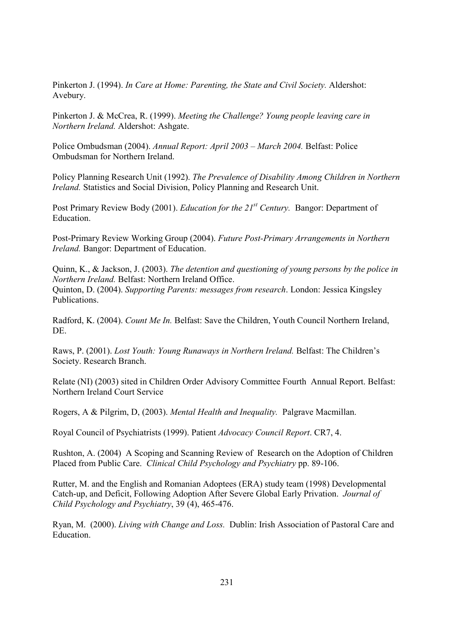Pinkerton J. (1994). In Care at Home: Parenting, the State and Civil Society. Aldershot: Avebury.

Pinkerton J. & McCrea, R. (1999). Meeting the Challenge? Young people leaving care in Northern Ireland. Aldershot: Ashgate.

Police Ombudsman (2004). Annual Report: April 2003 – March 2004. Belfast: Police Ombudsman for Northern Ireland

Policy Planning Research Unit (1992). The Prevalence of Disability Among Children in Northern Ireland. Statistics and Social Division, Policy Planning and Research Unit.

Post Primary Review Body (2001). *Education for the*  $21^{st}$  *Century*. Bangor: Department of Education.

Post-Primary Review Working Group (2004). Future Post-Primary Arrangements in Northern *Ireland.* Bangor: Department of Education.

Quinn, K., & Jackson, J. (2003). The detention and questioning of young persons by the police in Northern Ireland. Belfast: Northern Ireland Office. Quinton, D. (2004). Supporting Parents: messages from research. London: Jessica Kingsley **Publications** 

Radford, K. (2004). Count Me In. Belfast: Save the Children, Youth Council Northern Ireland, DE.

Raws, P. (2001). Lost Youth: Young Runaways in Northern Ireland. Belfast: The Children's Society. Research Branch.

Relate (NI) (2003) sited in Children Order Advisory Committee Fourth Annual Report. Belfast: Northern Ireland Court Service

Rogers, A & Pilgrim, D, (2003). Mental Health and Inequality. Palgrave Macmillan.

Royal Council of Psychiatrists (1999). Patient Advocacy Council Report. CR7, 4.

Rushton, A. (2004) A Scoping and Scanning Review of Research on the Adoption of Children Placed from Public Care. Clinical Child Psychology and Psychiatry pp. 89-106.

Rutter, M. and the English and Romanian Adoptees (ERA) study team (1998) Developmental Catch-up, and Deficit, Following Adoption After Severe Global Early Privation. Journal of Child Psychology and Psychiatry, 39 (4), 465-476.

Ryan, M. (2000). Living with Change and Loss. Dublin: Irish Association of Pastoral Care and Education.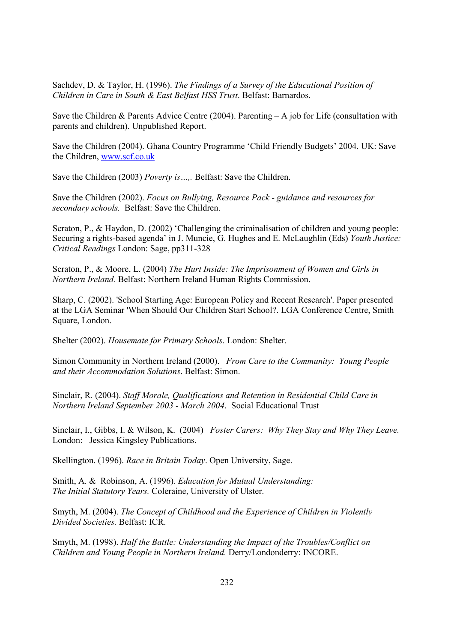Sachdev, D. & Taylor, H. (1996). The Findings of a Survey of the Educational Position of Children in Care in South & East Belfast HSS Trust. Belfast: Barnardos.

Save the Children & Parents Advice Centre (2004). Parenting  $-A$  job for Life (consultation with parents and children). Unpublished Report.

Save the Children (2004). Ghana Country Programme 'Child Friendly Budgets' 2004. UK: Save the Children, www.scf.co.uk

Save the Children (2003) Poverty is...,. Belfast: Save the Children.

Save the Children (2002). Focus on Bullying, Resource Pack - guidance and resources for secondary schools. Belfast: Save the Children.

Scraton, P., & Haydon, D. (2002) 'Challenging the criminalisation of children and young people: Securing a rights-based agenda' in J. Muncie, G. Hughes and E. McLaughlin (Eds) Youth Justice: Critical Readings London: Sage, pp311-328

Scraton, P., & Moore, L. (2004) The Hurt Inside: The Imprisonment of Women and Girls in Northern Ireland. Belfast: Northern Ireland Human Rights Commission.

Sharp, C. (2002). 'School Starting Age: European Policy and Recent Research'. Paper presented at the LGA Seminar 'When Should Our Children Start School?, LGA Conference Centre, Smith Square, London.

Shelter (2002). Housemate for Primary Schools. London: Shelter.

Simon Community in Northern Ireland (2000). From Care to the Community: Young People and their Accommodation Solutions. Belfast: Simon.

Sinclair, R. (2004). Staff Morale, Qualifications and Retention in Residential Child Care in Northern Ireland September 2003 - March 2004. Social Educational Trust

Sinclair, I., Gibbs, I. & Wilson, K. (2004) Foster Carers: Why They Stay and Why They Leave. London: Jessica Kingsley Publications.

Skellington. (1996). Race in Britain Today. Open University, Sage.

Smith, A. & Robinson, A. (1996). Education for Mutual Understanding: The Initial Statutory Years. Coleraine, University of Ulster.

Smyth, M. (2004). The Concept of Childhood and the Experience of Children in Violently Divided Societies, Belfast: ICR.

Smyth, M. (1998). Half the Battle: Understanding the Impact of the Troubles/Conflict on Children and Young People in Northern Ireland. Derry/Londonderry: INCORE.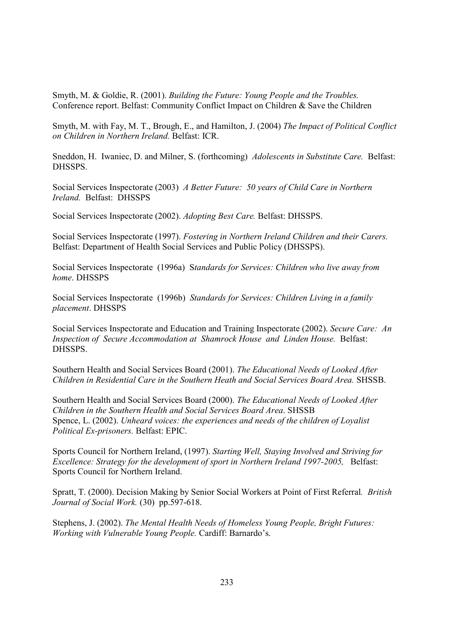Smyth, M. & Goldie, R. (2001). Building the Future: Young People and the Troubles. Conference report. Belfast: Community Conflict Impact on Children & Save the Children

Smyth, M. with Fay, M. T., Brough, E., and Hamilton, J. (2004) The Impact of Political Conflict on Children in Northern Ireland. Belfast: ICR.

Sneddon, H. Iwaniec, D. and Milner, S. (forthcoming) Adolescents in Substitute Care. Belfast: DHSSPS.

Social Services Inspectorate (2003) A Better Future: 50 years of Child Care in Northern Ireland. Belfast: DHSSPS

Social Services Inspectorate (2002). Adopting Best Care. Belfast: DHSSPS.

Social Services Inspectorate (1997). Fostering in Northern Ireland Children and their Carers. Belfast: Department of Health Social Services and Public Policy (DHSSPS).

Social Services Inspectorate (1996a) Standards for Services: Children who live away from home. DHSSPS

Social Services Inspectorate (1996b) Standards for Services: Children Living in a family placement. DHSSPS

Social Services Inspectorate and Education and Training Inspectorate (2002). Secure Care: An Inspection of Secure Accommodation at Shamrock House and Linden House. Belfast: DHSSPS.

Southern Health and Social Services Board (2001). The Educational Needs of Looked After Children in Residential Care in the Southern Heath and Social Services Board Area. SHSSB.

Southern Health and Social Services Board (2000). The Educational Needs of Looked After Children in the Southern Health and Social Services Board Area. SHSSB Spence, L. (2002). Unheard voices: the experiences and needs of the children of Loyalist Political Ex-prisoners. Belfast: EPIC.

Sports Council for Northern Ireland, (1997). Starting Well, Staying Involved and Striving for Excellence: Strategy for the development of sport in Northern Ireland 1997-2005, Belfast: Sports Council for Northern Ireland.

Spratt, T. (2000). Decision Making by Senior Social Workers at Point of First Referral. British Journal of Social Work. (30) pp.597-618.

Stephens, J. (2002). The Mental Health Needs of Homeless Young People, Bright Futures: Working with Vulnerable Young People. Cardiff: Barnardo's.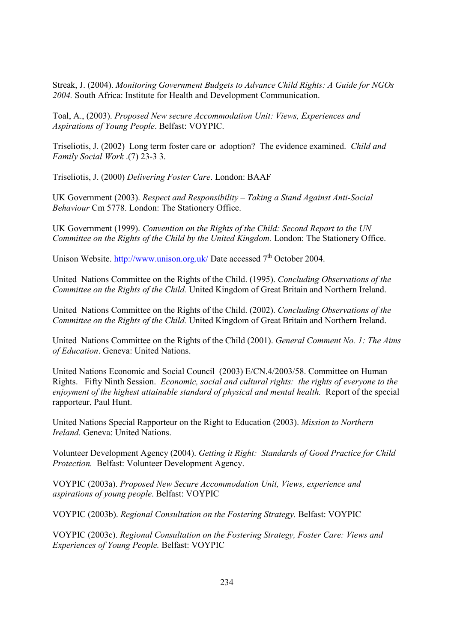Streak, J. (2004). Monitoring Government Budgets to Advance Child Rights: A Guide for NGOs 2004. South Africa: Institute for Health and Development Communication.

Toal, A., (2003). Proposed New secure Accommodation Unit: Views, Experiences and Aspirations of Young People. Belfast: VOYPIC.

Triseliotis, J. (2002) Long term foster care or adoption? The evidence examined. Child and Family Social Work (7) 23-3 3.

Triseliotis, J. (2000) Delivering Foster Care. London: BAAF

UK Government (2003). Respect and Responsibility - Taking a Stand Against Anti-Social Behaviour Cm 5778. London: The Stationery Office.

UK Government (1999). Convention on the Rights of the Child: Second Report to the UN Committee on the Rights of the Child by the United Kingdom. London: The Stationery Office.

Unison Website. http://www.unison.org.uk/ Date accessed  $7<sup>th</sup>$  October 2004.

United Nations Committee on the Rights of the Child. (1995). Concluding Observations of the Committee on the Rights of the Child. United Kingdom of Great Britain and Northern Ireland.

United Nations Committee on the Rights of the Child. (2002). Concluding Observations of the Committee on the Rights of the Child. United Kingdom of Great Britain and Northern Ireland.

United Nations Committee on the Rights of the Child (2001). General Comment No. 1: The Aims of Education. Geneva: United Nations.

United Nations Economic and Social Council (2003) E/CN.4/2003/58. Committee on Human Rights. Fifty Ninth Session. *Economic, social and cultural rights: the rights of everyone to the* enjoyment of the highest attainable standard of physical and mental health. Report of the special rapporteur, Paul Hunt.

United Nations Special Rapporteur on the Right to Education (2003). Mission to Northern *Ireland.* Geneva: United Nations.

Volunteer Development Agency (2004). Getting it Right: Standards of Good Practice for Child Protection. Belfast: Volunteer Development Agency.

VOYPIC (2003a). Proposed New Secure Accommodation Unit, Views, experience and aspirations of young people. Belfast: VOYPIC

VOYPIC (2003b). Regional Consultation on the Fostering Strategy. Belfast: VOYPIC

VOYPIC (2003c). Regional Consultation on the Fostering Strategy, Foster Care: Views and Experiences of Young People. Belfast: VOYPIC